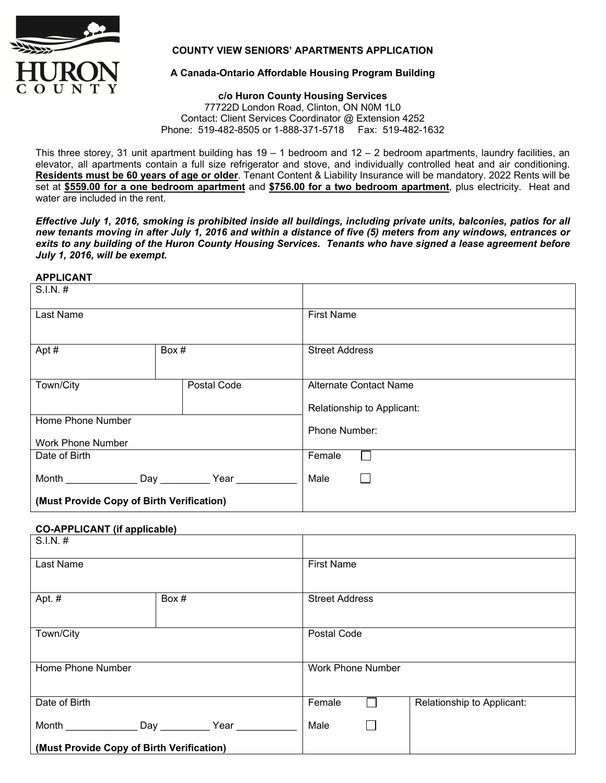

## **COUNTY VIEW SENIORS' APARTMENTS APPLICATION**

# **A Canada-Ontario Affordable Housing Program Building**

#### **c/o Huron County Housing Services**  77722D London Road, Clinton, ON N0M 1L0 Contact: Client Services Coordinator @ Extension 4252

Phone: 519-482-8505 or 1-888-371-5718 Fax: 519-482-1632

This three storey, 31 unit apartment building has  $19 - 1$  bedroom and  $12 - 2$  bedroom apartments, laundry facilities, an elevator, all apartments contain a full size refrigerator and stove, and individually controlled heat and air conditioning. **Residents must be 60 years of age or older**. Tenant Content & Liability Insurance will be mandatory. 2022 Rents will be set at **\$559.00 for a one bedroom apartment** and **\$756.00 for a two bedroom apartment**, plus electricity. Heat and water are included in the rent.

*Effective July 1, 2016, smoking is prohibited inside all buildings, including private units, balconies, patios for all new tenants moving in after July 1, 2016 and within a distance of five (5) meters from any windows, entrances or exits to any building of the Huron County Housing Services. Tenants who have signed a lease agreement before July 1, 2016, will be exempt.* 

### **APPLICANT**

| $S.I.N.$ #                                |                   |                               |
|-------------------------------------------|-------------------|-------------------------------|
| Last Name                                 |                   | <b>First Name</b>             |
|                                           |                   |                               |
| Apt#                                      | Box #             | <b>Street Address</b>         |
| Town/City                                 | Postal Code       | <b>Alternate Contact Name</b> |
|                                           |                   | Relationship to Applicant:    |
| Home Phone Number                         |                   |                               |
|                                           |                   | Phone Number:                 |
| <b>Work Phone Number</b>                  |                   |                               |
| Date of Birth                             |                   | Female                        |
| <b>Month Exercise State State State</b>   | Day _____<br>Year | Male                          |
| (Must Provide Copy of Birth Verification) |                   |                               |

## **CO-APPLICANT (if applicable)**

| $S.I.N.$ #                                |       |                          |  |                            |  |
|-------------------------------------------|-------|--------------------------|--|----------------------------|--|
| Last Name                                 |       | <b>First Name</b>        |  |                            |  |
| Apt. #                                    | Box # | <b>Street Address</b>    |  |                            |  |
| Town/City                                 |       | Postal Code              |  |                            |  |
| Home Phone Number                         |       | <b>Work Phone Number</b> |  |                            |  |
| Date of Birth                             |       | Female                   |  | Relationship to Applicant: |  |
| Month<br>Day                              | Year  | Male                     |  |                            |  |
| (Must Provide Copy of Birth Verification) |       |                          |  |                            |  |